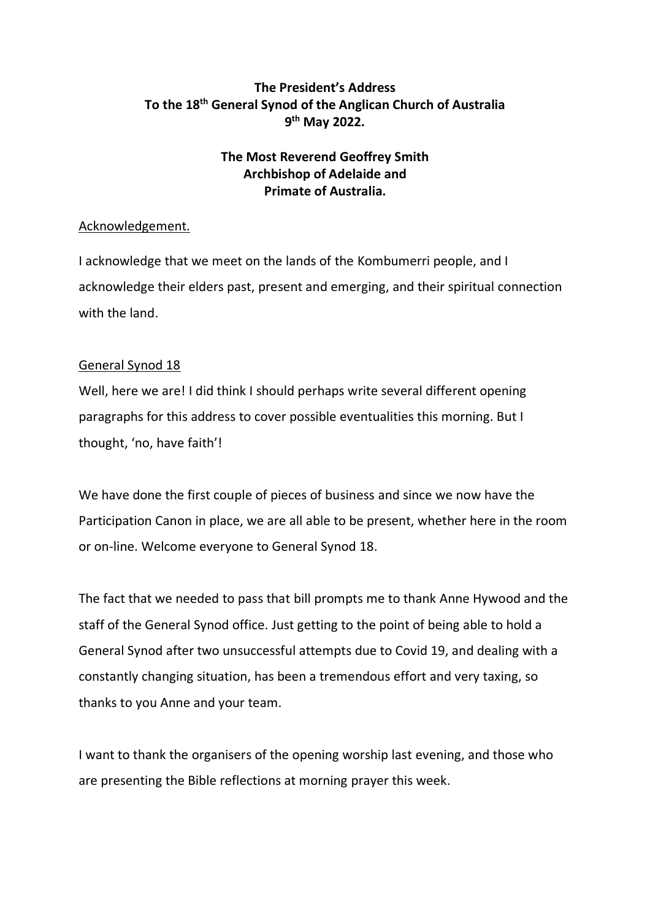# **The President's Address To the 18th General Synod of the Anglican Church of Australia 9 th May 2022.**

# **The Most Reverend Geoffrey Smith Archbishop of Adelaide and Primate of Australia.**

## Acknowledgement.

I acknowledge that we meet on the lands of the Kombumerri people, and I acknowledge their elders past, present and emerging, and their spiritual connection with the land.

## General Synod 18

Well, here we are! I did think I should perhaps write several different opening paragraphs for this address to cover possible eventualities this morning. But I thought, 'no, have faith'!

We have done the first couple of pieces of business and since we now have the Participation Canon in place, we are all able to be present, whether here in the room or on-line. Welcome everyone to General Synod 18.

The fact that we needed to pass that bill prompts me to thank Anne Hywood and the staff of the General Synod office. Just getting to the point of being able to hold a General Synod after two unsuccessful attempts due to Covid 19, and dealing with a constantly changing situation, has been a tremendous effort and very taxing, so thanks to you Anne and your team.

I want to thank the organisers of the opening worship last evening, and those who are presenting the Bible reflections at morning prayer this week.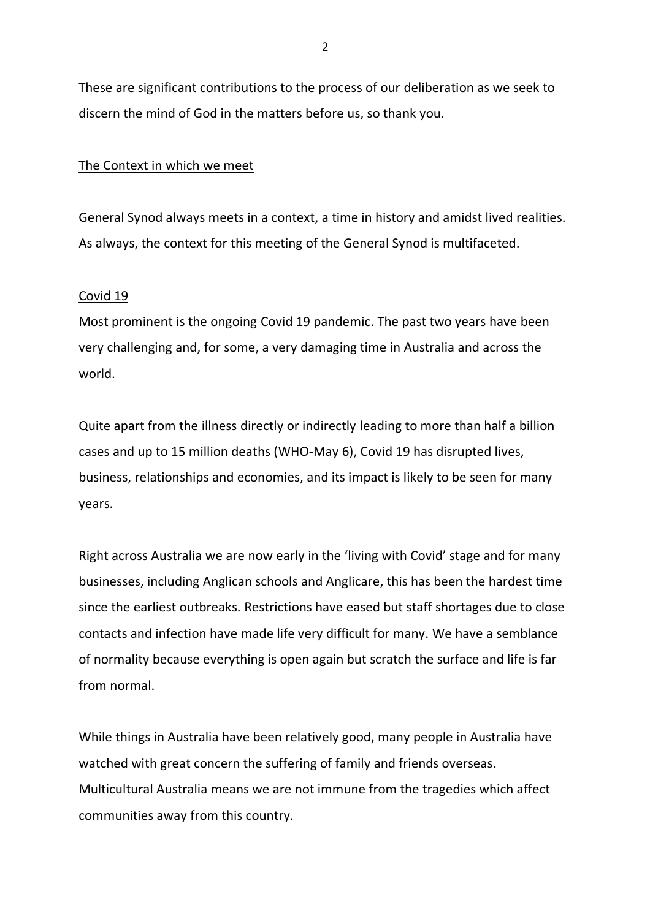These are significant contributions to the process of our deliberation as we seek to discern the mind of God in the matters before us, so thank you.

## The Context in which we meet

General Synod always meets in a context, a time in history and amidst lived realities. As always, the context for this meeting of the General Synod is multifaceted.

## Covid 19

Most prominent is the ongoing Covid 19 pandemic. The past two years have been very challenging and, for some, a very damaging time in Australia and across the world.

Quite apart from the illness directly or indirectly leading to more than half a billion cases and up to 15 million deaths (WHO-May 6), Covid 19 has disrupted lives, business, relationships and economies, and its impact is likely to be seen for many years.

Right across Australia we are now early in the 'living with Covid' stage and for many businesses, including Anglican schools and Anglicare, this has been the hardest time since the earliest outbreaks. Restrictions have eased but staff shortages due to close contacts and infection have made life very difficult for many. We have a semblance of normality because everything is open again but scratch the surface and life is far from normal.

While things in Australia have been relatively good, many people in Australia have watched with great concern the suffering of family and friends overseas. Multicultural Australia means we are not immune from the tragedies which affect communities away from this country.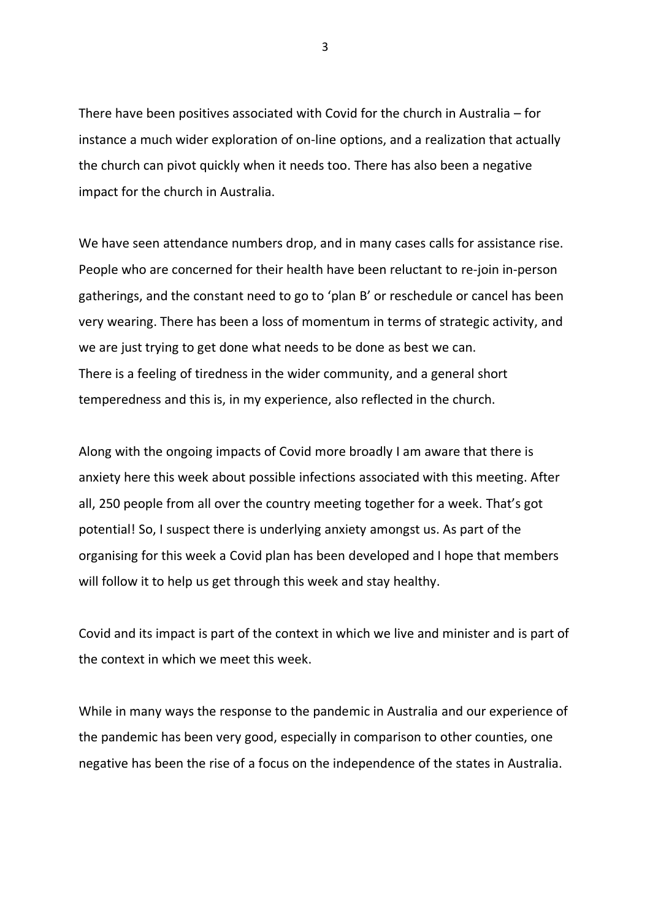There have been positives associated with Covid for the church in Australia – for instance a much wider exploration of on-line options, and a realization that actually the church can pivot quickly when it needs too. There has also been a negative impact for the church in Australia.

We have seen attendance numbers drop, and in many cases calls for assistance rise. People who are concerned for their health have been reluctant to re-join in-person gatherings, and the constant need to go to 'plan B' or reschedule or cancel has been very wearing. There has been a loss of momentum in terms of strategic activity, and we are just trying to get done what needs to be done as best we can. There is a feeling of tiredness in the wider community, and a general short temperedness and this is, in my experience, also reflected in the church.

Along with the ongoing impacts of Covid more broadly I am aware that there is anxiety here this week about possible infections associated with this meeting. After all, 250 people from all over the country meeting together for a week. That's got potential! So, I suspect there is underlying anxiety amongst us. As part of the organising for this week a Covid plan has been developed and I hope that members will follow it to help us get through this week and stay healthy.

Covid and its impact is part of the context in which we live and minister and is part of the context in which we meet this week.

While in many ways the response to the pandemic in Australia and our experience of the pandemic has been very good, especially in comparison to other counties, one negative has been the rise of a focus on the independence of the states in Australia.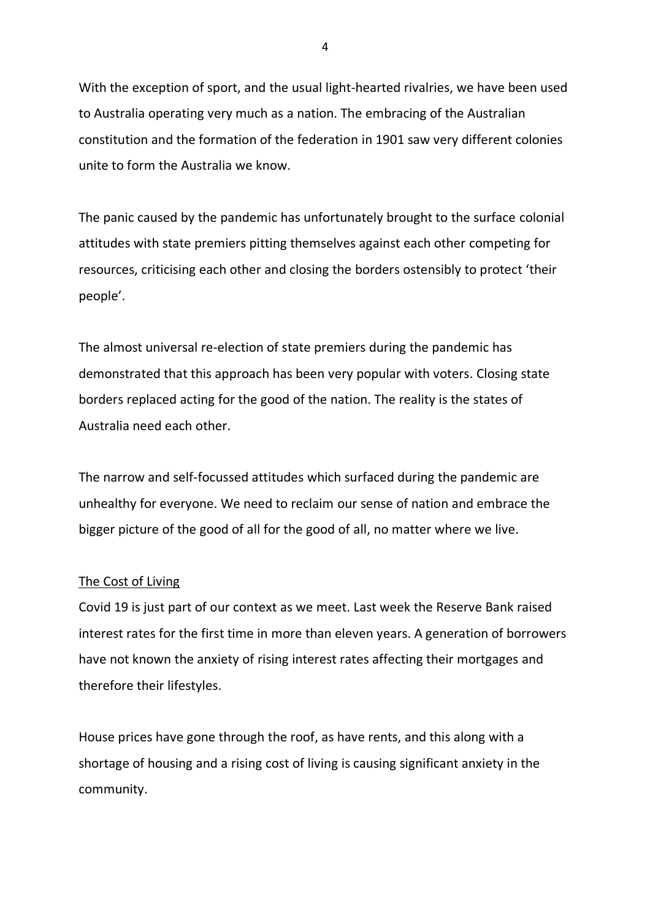With the exception of sport, and the usual light-hearted rivalries, we have been used to Australia operating very much as a nation. The embracing of the Australian constitution and the formation of the federation in 1901 saw very different colonies unite to form the Australia we know.

The panic caused by the pandemic has unfortunately brought to the surface colonial attitudes with state premiers pitting themselves against each other competing for resources, criticising each other and closing the borders ostensibly to protect 'their people'.

The almost universal re-election of state premiers during the pandemic has demonstrated that this approach has been very popular with voters. Closing state borders replaced acting for the good of the nation. The reality is the states of Australia need each other.

The narrow and self-focussed attitudes which surfaced during the pandemic are unhealthy for everyone. We need to reclaim our sense of nation and embrace the bigger picture of the good of all for the good of all, no matter where we live.

## The Cost of Living

Covid 19 is just part of our context as we meet. Last week the Reserve Bank raised interest rates for the first time in more than eleven years. A generation of borrowers have not known the anxiety of rising interest rates affecting their mortgages and therefore their lifestyles.

House prices have gone through the roof, as have rents, and this along with a shortage of housing and a rising cost of living is causing significant anxiety in the community.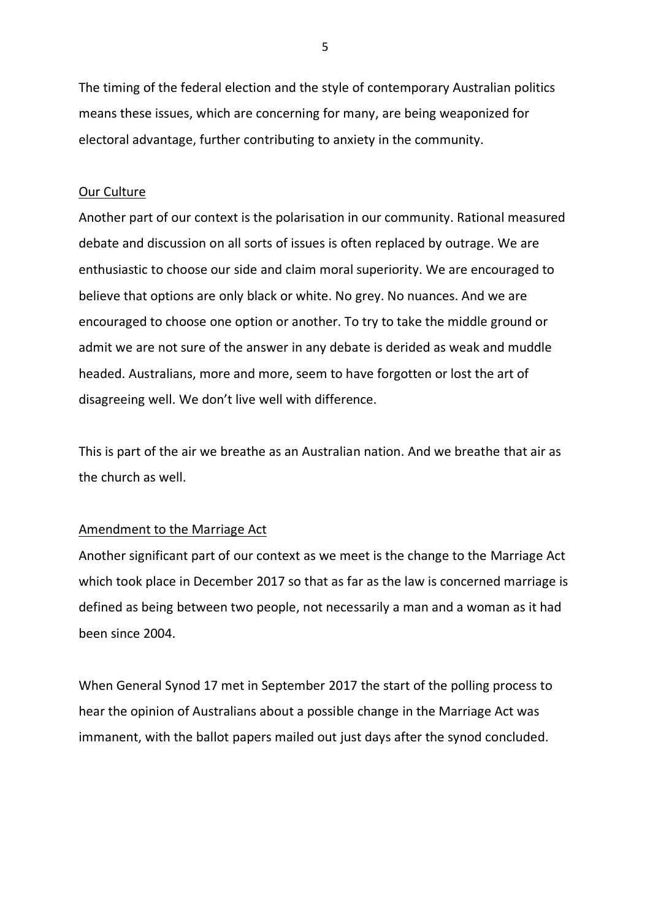The timing of the federal election and the style of contemporary Australian politics means these issues, which are concerning for many, are being weaponized for electoral advantage, further contributing to anxiety in the community.

### Our Culture

Another part of our context is the polarisation in our community. Rational measured debate and discussion on all sorts of issues is often replaced by outrage. We are enthusiastic to choose our side and claim moral superiority. We are encouraged to believe that options are only black or white. No grey. No nuances. And we are encouraged to choose one option or another. To try to take the middle ground or admit we are not sure of the answer in any debate is derided as weak and muddle headed. Australians, more and more, seem to have forgotten or lost the art of disagreeing well. We don't live well with difference.

This is part of the air we breathe as an Australian nation. And we breathe that air as the church as well.

#### Amendment to the Marriage Act

Another significant part of our context as we meet is the change to the Marriage Act which took place in December 2017 so that as far as the law is concerned marriage is defined as being between two people, not necessarily a man and a woman as it had been since 2004.

When General Synod 17 met in September 2017 the start of the polling process to hear the opinion of Australians about a possible change in the Marriage Act was immanent, with the ballot papers mailed out just days after the synod concluded.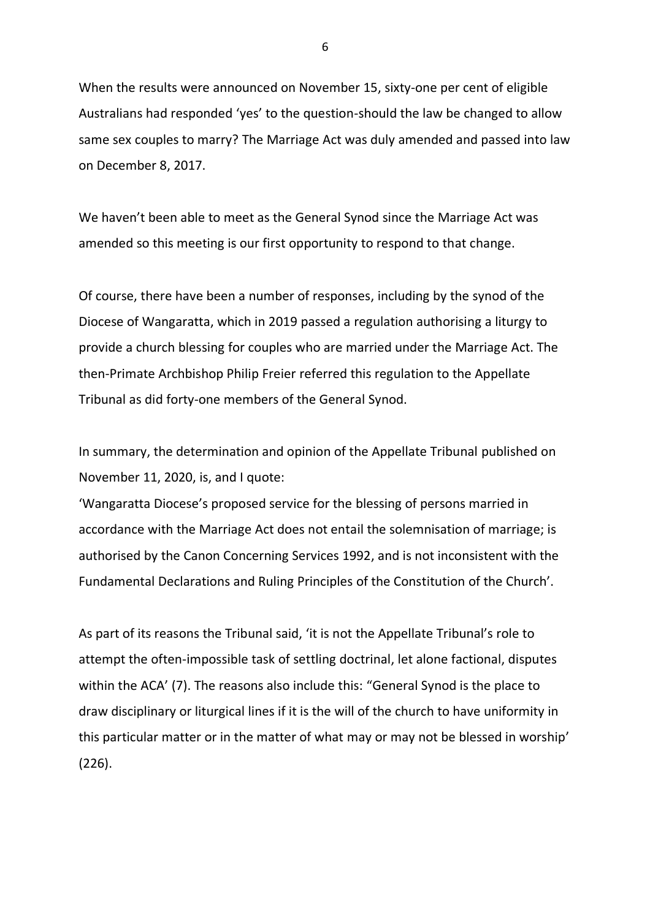When the results were announced on November 15, sixty-one per cent of eligible Australians had responded 'yes' to the question-should the law be changed to allow same sex couples to marry? The Marriage Act was duly amended and passed into law on December 8, 2017.

We haven't been able to meet as the General Synod since the Marriage Act was amended so this meeting is our first opportunity to respond to that change.

Of course, there have been a number of responses, including by the synod of the Diocese of Wangaratta, which in 2019 passed a regulation authorising a liturgy to provide a church blessing for couples who are married under the Marriage Act. The then-Primate Archbishop Philip Freier referred this regulation to the Appellate Tribunal as did forty-one members of the General Synod.

In summary, the determination and opinion of the Appellate Tribunal published on November 11, 2020, is, and I quote:

'Wangaratta Diocese's proposed service for the blessing of persons married in accordance with the Marriage Act does not entail the solemnisation of marriage; is authorised by the Canon Concerning Services 1992, and is not inconsistent with the Fundamental Declarations and Ruling Principles of the Constitution of the Church'.

As part of its reasons the Tribunal said, 'it is not the Appellate Tribunal's role to attempt the often-impossible task of settling doctrinal, let alone factional, disputes within the ACA' (7). The reasons also include this: "General Synod is the place to draw disciplinary or liturgical lines if it is the will of the church to have uniformity in this particular matter or in the matter of what may or may not be blessed in worship' (226).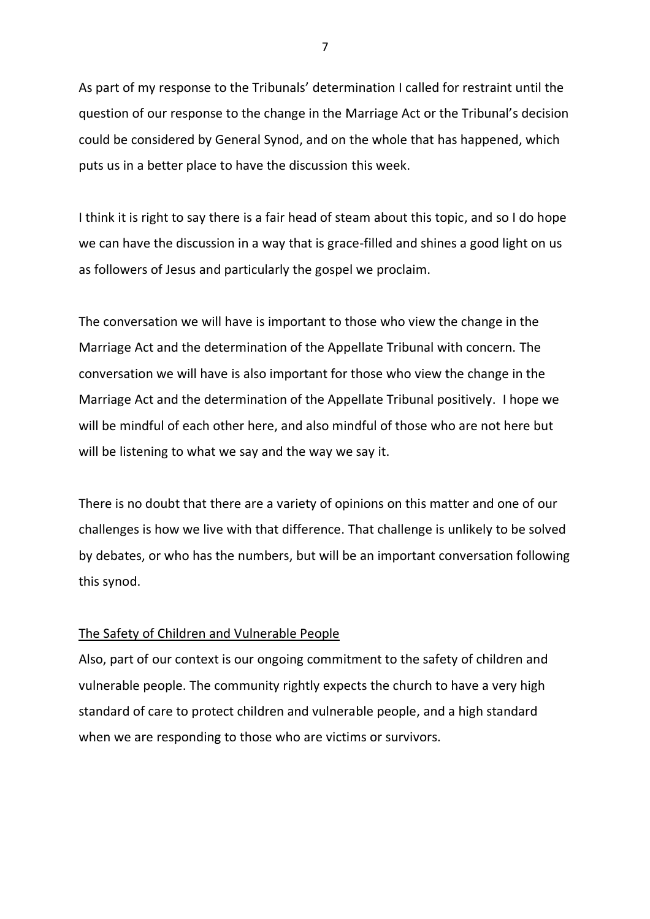As part of my response to the Tribunals' determination I called for restraint until the question of our response to the change in the Marriage Act or the Tribunal's decision could be considered by General Synod, and on the whole that has happened, which puts us in a better place to have the discussion this week.

I think it is right to say there is a fair head of steam about this topic, and so I do hope we can have the discussion in a way that is grace-filled and shines a good light on us as followers of Jesus and particularly the gospel we proclaim.

The conversation we will have is important to those who view the change in the Marriage Act and the determination of the Appellate Tribunal with concern. The conversation we will have is also important for those who view the change in the Marriage Act and the determination of the Appellate Tribunal positively. I hope we will be mindful of each other here, and also mindful of those who are not here but will be listening to what we say and the way we say it.

There is no doubt that there are a variety of opinions on this matter and one of our challenges is how we live with that difference. That challenge is unlikely to be solved by debates, or who has the numbers, but will be an important conversation following this synod.

## The Safety of Children and Vulnerable People

Also, part of our context is our ongoing commitment to the safety of children and vulnerable people. The community rightly expects the church to have a very high standard of care to protect children and vulnerable people, and a high standard when we are responding to those who are victims or survivors.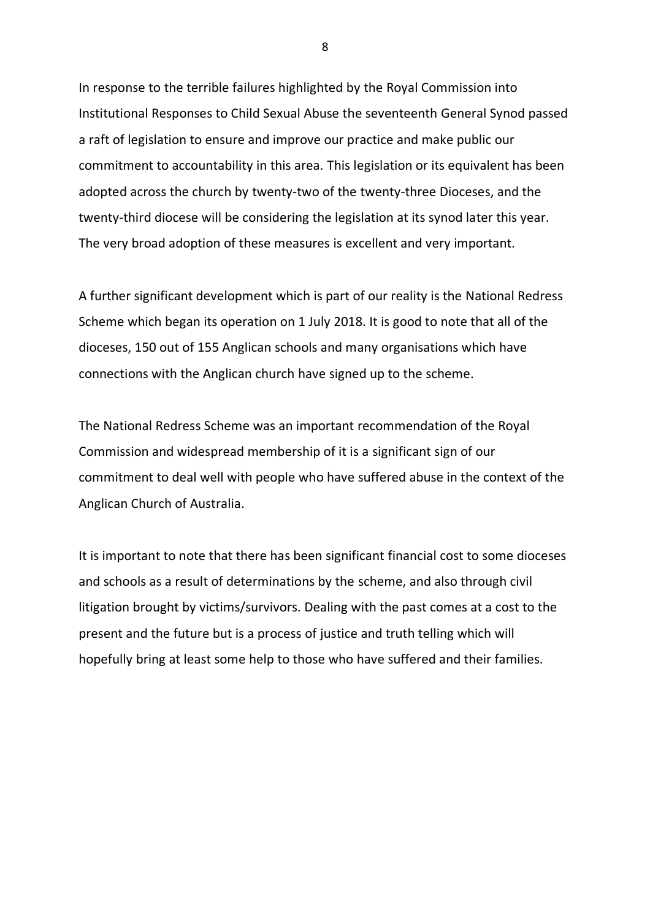In response to the terrible failures highlighted by the Royal Commission into Institutional Responses to Child Sexual Abuse the seventeenth General Synod passed a raft of legislation to ensure and improve our practice and make public our commitment to accountability in this area. This legislation or its equivalent has been adopted across the church by twenty-two of the twenty-three Dioceses, and the twenty-third diocese will be considering the legislation at its synod later this year. The very broad adoption of these measures is excellent and very important.

A further significant development which is part of our reality is the National Redress Scheme which began its operation on 1 July 2018. It is good to note that all of the dioceses, 150 out of 155 Anglican schools and many organisations which have connections with the Anglican church have signed up to the scheme.

The National Redress Scheme was an important recommendation of the Royal Commission and widespread membership of it is a significant sign of our commitment to deal well with people who have suffered abuse in the context of the Anglican Church of Australia.

It is important to note that there has been significant financial cost to some dioceses and schools as a result of determinations by the scheme, and also through civil litigation brought by victims/survivors. Dealing with the past comes at a cost to the present and the future but is a process of justice and truth telling which will hopefully bring at least some help to those who have suffered and their families.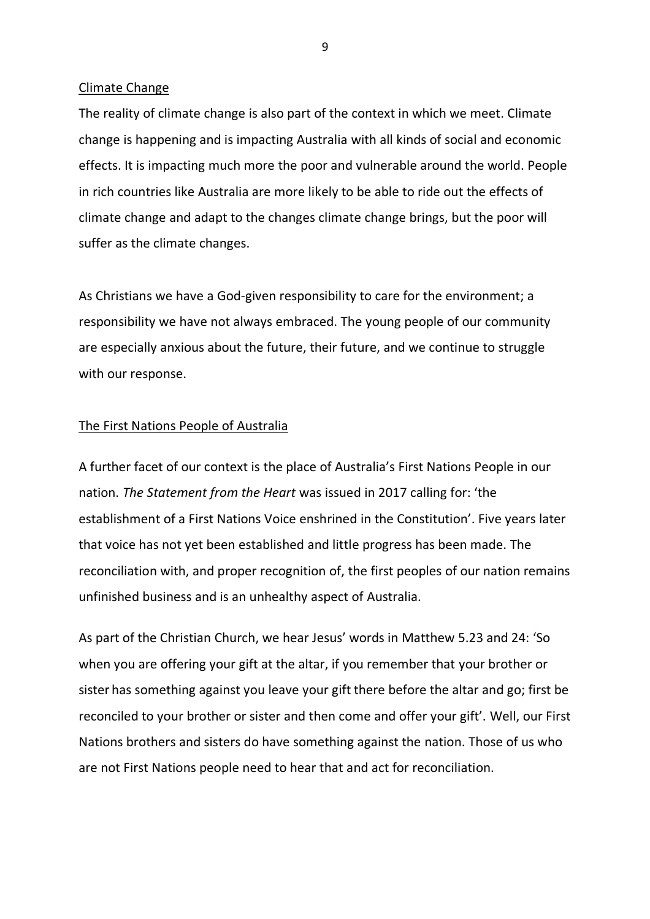#### Climate Change

The reality of climate change is also part of the context in which we meet. Climate change is happening and is impacting Australia with all kinds of social and economic effects. It is impacting much more the poor and vulnerable around the world. People in rich countries like Australia are more likely to be able to ride out the effects of climate change and adapt to the changes climate change brings, but the poor will suffer as the climate changes.

As Christians we have a God-given responsibility to care for the environment; a responsibility we have not always embraced. The young people of our community are especially anxious about the future, their future, and we continue to struggle with our response.

## The First Nations People of Australia

A further facet of our context is the place of Australia's First Nations People in our nation. *The Statement from the Heart* was issued in 2017 calling for: 'the establishment of a First Nations Voice enshrined in the Constitution'. Five years later that voice has not yet been established and little progress has been made. The reconciliation with, and proper recognition of, the first peoples of our nation remains unfinished business and is an unhealthy aspect of Australia.

As part of the Christian Church, we hear Jesus' words in Matthew 5.23 and 24: 'So when you are offering your gift at the altar, if you remember that your brother or sister has something against you leave your gift there before the altar and go; first be reconciled to your brother or sister and then come and offer your gift'. Well, our First Nations brothers and sisters do have something against the nation. Those of us who are not First Nations people need to hear that and act for reconciliation.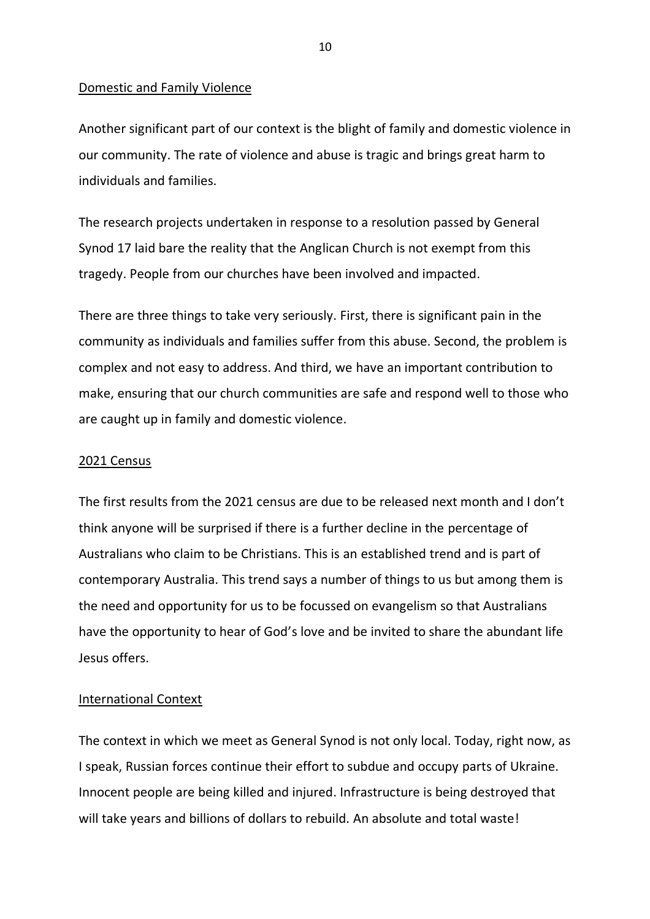#### Domestic and Family Violence

Another significant part of our context is the blight of family and domestic violence in our community. The rate of violence and abuse is tragic and brings great harm to individuals and families.

The research projects undertaken in response to a resolution passed by General Synod 17 laid bare the reality that the Anglican Church is not exempt from this tragedy. People from our churches have been involved and impacted.

There are three things to take very seriously. First, there is significant pain in the community as individuals and families suffer from this abuse. Second, the problem is complex and not easy to address. And third, we have an important contribution to make, ensuring that our church communities are safe and respond well to those who are caught up in family and domestic violence.

#### 2021 Census

The first results from the 2021 census are due to be released next month and I don't think anyone will be surprised if there is a further decline in the percentage of Australians who claim to be Christians. This is an established trend and is part of contemporary Australia. This trend says a number of things to us but among them is the need and opportunity for us to be focussed on evangelism so that Australians have the opportunity to hear of God's love and be invited to share the abundant life Jesus offers.

## International Context

The context in which we meet as General Synod is not only local. Today, right now, as I speak, Russian forces continue their effort to subdue and occupy parts of Ukraine. Innocent people are being killed and injured. Infrastructure is being destroyed that will take years and billions of dollars to rebuild. An absolute and total waste!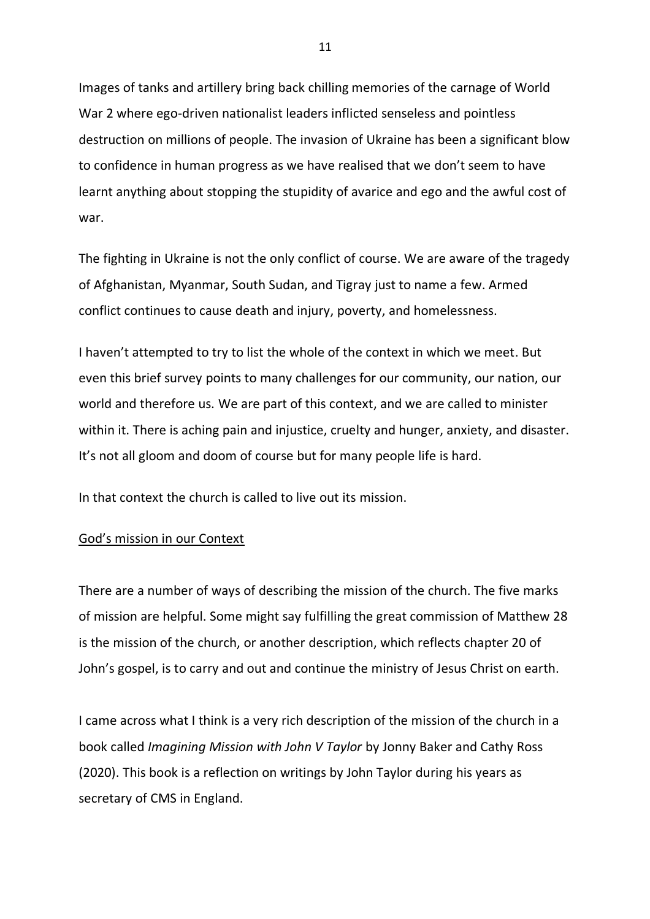Images of tanks and artillery bring back chilling memories of the carnage of World War 2 where ego-driven nationalist leaders inflicted senseless and pointless destruction on millions of people. The invasion of Ukraine has been a significant blow to confidence in human progress as we have realised that we don't seem to have learnt anything about stopping the stupidity of avarice and ego and the awful cost of war.

The fighting in Ukraine is not the only conflict of course. We are aware of the tragedy of Afghanistan, Myanmar, South Sudan, and Tigray just to name a few. Armed conflict continues to cause death and injury, poverty, and homelessness.

I haven't attempted to try to list the whole of the context in which we meet. But even this brief survey points to many challenges for our community, our nation, our world and therefore us. We are part of this context, and we are called to minister within it. There is aching pain and injustice, cruelty and hunger, anxiety, and disaster. It's not all gloom and doom of course but for many people life is hard.

In that context the church is called to live out its mission.

#### God's mission in our Context

There are a number of ways of describing the mission of the church. The five marks of mission are helpful. Some might say fulfilling the great commission of Matthew 28 is the mission of the church, or another description, which reflects chapter 20 of John's gospel, is to carry and out and continue the ministry of Jesus Christ on earth.

I came across what I think is a very rich description of the mission of the church in a book called *Imagining Mission with John V Taylor* by Jonny Baker and Cathy Ross (2020). This book is a reflection on writings by John Taylor during his years as secretary of CMS in England.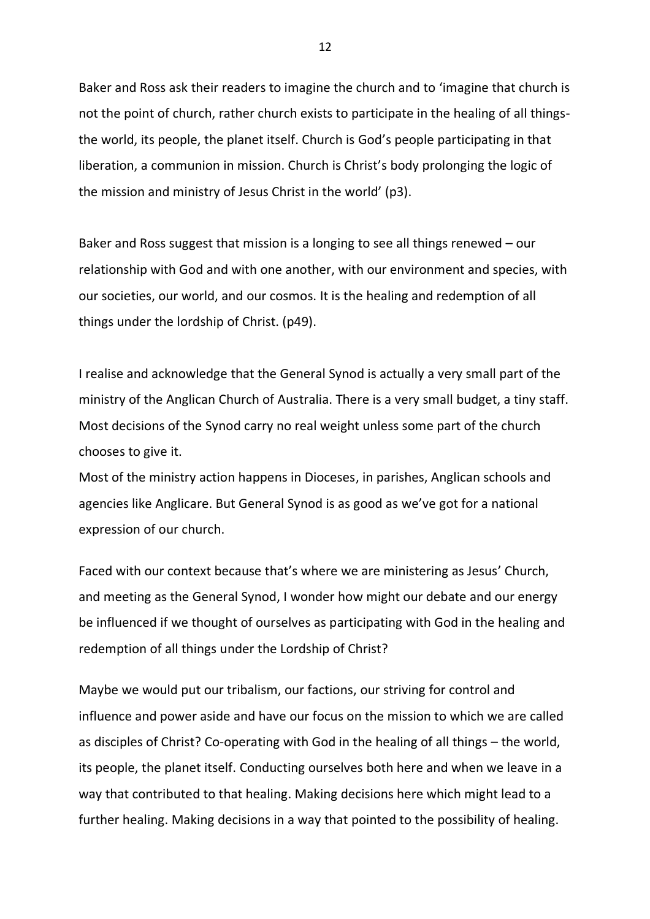Baker and Ross ask their readers to imagine the church and to 'imagine that church is not the point of church, rather church exists to participate in the healing of all thingsthe world, its people, the planet itself. Church is God's people participating in that liberation, a communion in mission. Church is Christ's body prolonging the logic of the mission and ministry of Jesus Christ in the world' (p3).

Baker and Ross suggest that mission is a longing to see all things renewed – our relationship with God and with one another, with our environment and species, with our societies, our world, and our cosmos. It is the healing and redemption of all things under the lordship of Christ. (p49).

I realise and acknowledge that the General Synod is actually a very small part of the ministry of the Anglican Church of Australia. There is a very small budget, a tiny staff. Most decisions of the Synod carry no real weight unless some part of the church chooses to give it.

Most of the ministry action happens in Dioceses, in parishes, Anglican schools and agencies like Anglicare. But General Synod is as good as we've got for a national expression of our church.

Faced with our context because that's where we are ministering as Jesus' Church, and meeting as the General Synod, I wonder how might our debate and our energy be influenced if we thought of ourselves as participating with God in the healing and redemption of all things under the Lordship of Christ?

Maybe we would put our tribalism, our factions, our striving for control and influence and power aside and have our focus on the mission to which we are called as disciples of Christ? Co-operating with God in the healing of all things – the world, its people, the planet itself. Conducting ourselves both here and when we leave in a way that contributed to that healing. Making decisions here which might lead to a further healing. Making decisions in a way that pointed to the possibility of healing.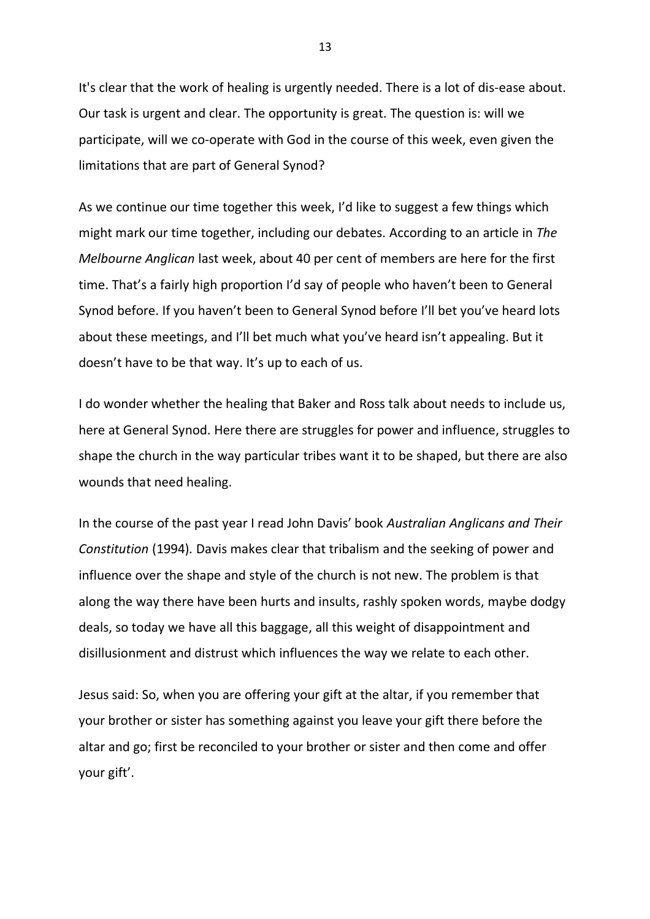It's clear that the work of healing is urgently needed. There is a lot of dis-ease about. Our task is urgent and clear. The opportunity is great. The question is: will we participate, will we co-operate with God in the course of this week, even given the limitations that are part of General Synod?

As we continue our time together this week, I'd like to suggest a few things which might mark our time together, including our debates. According to an article in *The Melbourne Anglican* last week, about 40 per cent of members are here for the first time. That's a fairly high proportion I'd say of people who haven't been to General Synod before. If you haven't been to General Synod before I'll bet you've heard lots about these meetings, and I'll bet much what you've heard isn't appealing. But it doesn't have to be that way. It's up to each of us.

I do wonder whether the healing that Baker and Ross talk about needs to include us, here at General Synod. Here there are struggles for power and influence, struggles to shape the church in the way particular tribes want it to be shaped, but there are also wounds that need healing.

In the course of the past year I read John Davis' book *Australian Anglicans and Their Constitution* (1994)*.* Davis makes clear that tribalism and the seeking of power and influence over the shape and style of the church is not new. The problem is that along the way there have been hurts and insults, rashly spoken words, maybe dodgy deals, so today we have all this baggage, all this weight of disappointment and disillusionment and distrust which influences the way we relate to each other.

Jesus said: So, when you are offering your gift at the altar, if you remember that your brother or sister has something against you leave your gift there before the altar and go; first be reconciled to your brother or sister and then come and offer your gift'.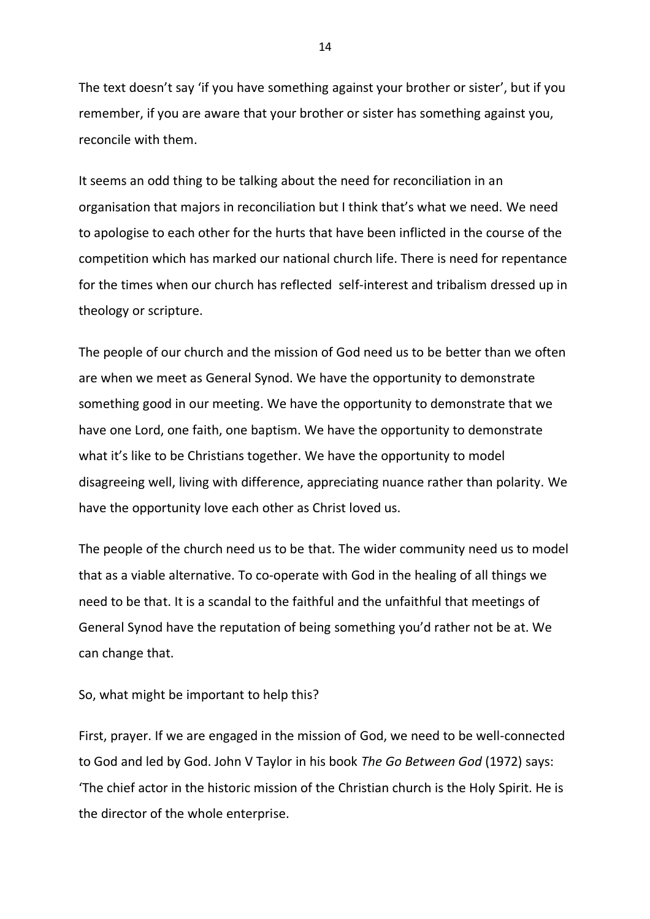The text doesn't say 'if you have something against your brother or sister', but if you remember, if you are aware that your brother or sister has something against you, reconcile with them.

It seems an odd thing to be talking about the need for reconciliation in an organisation that majors in reconciliation but I think that's what we need. We need to apologise to each other for the hurts that have been inflicted in the course of the competition which has marked our national church life. There is need for repentance for the times when our church has reflected self-interest and tribalism dressed up in theology or scripture.

The people of our church and the mission of God need us to be better than we often are when we meet as General Synod. We have the opportunity to demonstrate something good in our meeting. We have the opportunity to demonstrate that we have one Lord, one faith, one baptism. We have the opportunity to demonstrate what it's like to be Christians together. We have the opportunity to model disagreeing well, living with difference, appreciating nuance rather than polarity. We have the opportunity love each other as Christ loved us.

The people of the church need us to be that. The wider community need us to model that as a viable alternative. To co-operate with God in the healing of all things we need to be that. It is a scandal to the faithful and the unfaithful that meetings of General Synod have the reputation of being something you'd rather not be at. We can change that.

So, what might be important to help this?

First, prayer. If we are engaged in the mission of God, we need to be well-connected to God and led by God. John V Taylor in his book *The Go Between God* (1972) says: 'The chief actor in the historic mission of the Christian church is the Holy Spirit. He is the director of the whole enterprise.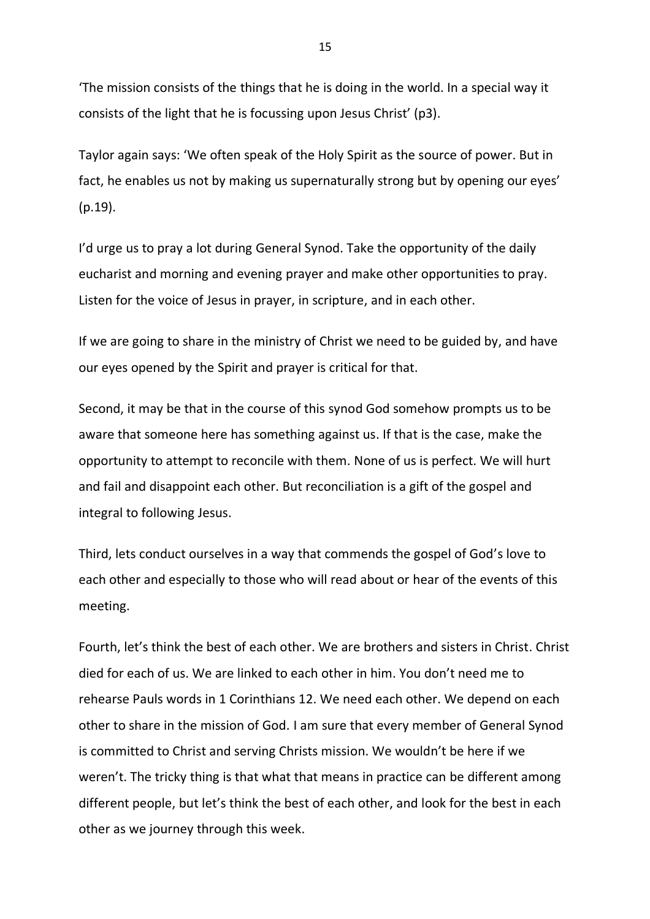'The mission consists of the things that he is doing in the world. In a special way it consists of the light that he is focussing upon Jesus Christ' (p3).

Taylor again says: 'We often speak of the Holy Spirit as the source of power. But in fact, he enables us not by making us supernaturally strong but by opening our eyes' (p.19).

I'd urge us to pray a lot during General Synod. Take the opportunity of the daily eucharist and morning and evening prayer and make other opportunities to pray. Listen for the voice of Jesus in prayer, in scripture, and in each other.

If we are going to share in the ministry of Christ we need to be guided by, and have our eyes opened by the Spirit and prayer is critical for that.

Second, it may be that in the course of this synod God somehow prompts us to be aware that someone here has something against us. If that is the case, make the opportunity to attempt to reconcile with them. None of us is perfect. We will hurt and fail and disappoint each other. But reconciliation is a gift of the gospel and integral to following Jesus.

Third, lets conduct ourselves in a way that commends the gospel of God's love to each other and especially to those who will read about or hear of the events of this meeting.

Fourth, let's think the best of each other. We are brothers and sisters in Christ. Christ died for each of us. We are linked to each other in him. You don't need me to rehearse Pauls words in 1 Corinthians 12. We need each other. We depend on each other to share in the mission of God. I am sure that every member of General Synod is committed to Christ and serving Christs mission. We wouldn't be here if we weren't. The tricky thing is that what that means in practice can be different among different people, but let's think the best of each other, and look for the best in each other as we journey through this week.